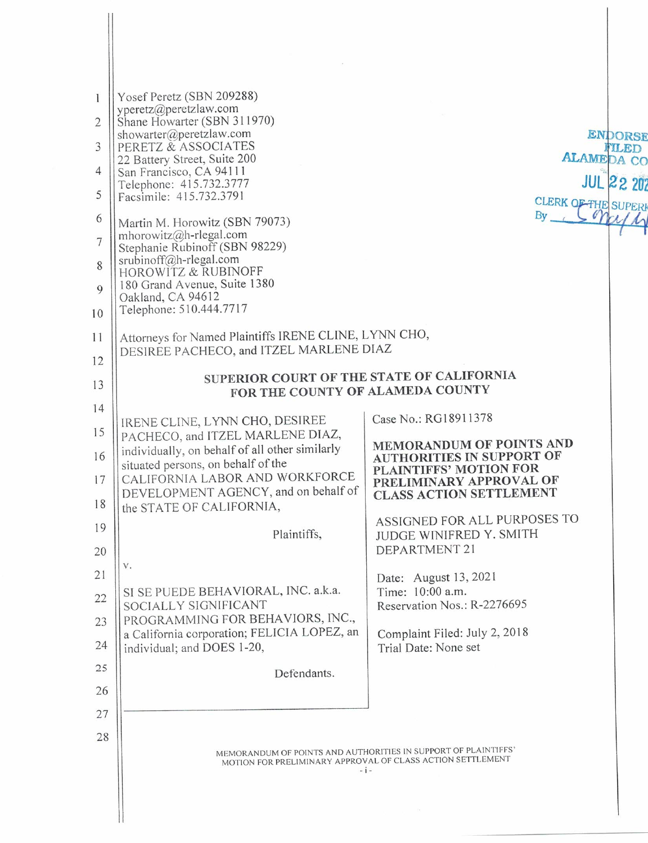| $\mathbf{1}$   | Yosef Peretz (SBN 209288)<br>yperetz@peretzlaw.com                                                                           |                                                              |  |  |
|----------------|------------------------------------------------------------------------------------------------------------------------------|--------------------------------------------------------------|--|--|
| $\overline{2}$ | Shane Howarter (SBN 311970)<br>showarter@peretzlaw.com                                                                       |                                                              |  |  |
| 3              | PERETZ & ASSOCIATES                                                                                                          | <b>ENDORSE</b><br>FILED                                      |  |  |
| 4              | 22 Battery Street, Suite 200<br>San Francisco, CA 94111                                                                      | <b>ALAMEDA CO</b>                                            |  |  |
| 5              | Telephone: 415.732.3777<br>Facsimile: 415.732.3791                                                                           | <b>JUL 22 202</b>                                            |  |  |
| 6              | Martin M. Horowitz (SBN 79073)                                                                                               | <b>CLERK OF THE SUPERI</b><br>By LSMM                        |  |  |
| $\overline{7}$ | mhorowitz@h-rlegal.com<br>Stephanie Rubinoff (SBN 98229)                                                                     |                                                              |  |  |
| 8              | $srubinoff@h$ -rlegal.com<br><b>HOROWITZ &amp; RUBINOFF</b>                                                                  |                                                              |  |  |
| 9              | 180 Grand Avenue, Suite 1380                                                                                                 |                                                              |  |  |
| 10             | Oakland, CA 94612<br>Telephone: 510.444.7717                                                                                 |                                                              |  |  |
| 11             | Attorneys for Named Plaintiffs IRENE CLINE, LYNN CHO,                                                                        |                                                              |  |  |
| 12             | DESIREE PACHECO, and ITZEL MARLENE DIAZ                                                                                      |                                                              |  |  |
| 13             | SUPERIOR COURT OF THE STATE OF CALIFORNIA                                                                                    |                                                              |  |  |
| 14             | FOR THE COUNTY OF ALAMEDA COUNTY                                                                                             |                                                              |  |  |
| 15             | IRENE CLINE, LYNN CHO, DESIREE<br>PACHECO, and ITZEL MARLENE DIAZ,                                                           | Case No.: RG18911378                                         |  |  |
| 16             | individually, on behalf of all other similarly                                                                               | MEMORANDUM OF POINTS AND<br><b>AUTHORITIES IN SUPPORT OF</b> |  |  |
| 17             | situated persons, on behalf of the<br>CALIFORNIA LABOR AND WORKFORCE                                                         | PLAINTIFFS' MOTION FOR<br>PRELIMINARY APPROVAL OF            |  |  |
| 18             | DEVELOPMENT AGENCY, and on behalf of<br>the STATE OF CALIFORNIA,                                                             | <b>CLASS ACTION SETTLEMENT</b>                               |  |  |
| 19             |                                                                                                                              | ASSIGNED FOR ALL PURPOSES TO                                 |  |  |
| 20             | Plaintiffs.                                                                                                                  | JUDGE WINIFRED Y. SMITH<br>DEPARTMENT 21                     |  |  |
| 21             | ${\mathbb V}$ .                                                                                                              | Date: August 13, 2021                                        |  |  |
| 22             | SI SE PUEDE BEHAVIORAL, INC. a.k.a.                                                                                          | Time: 10:00 a.m.                                             |  |  |
| 23             | SOCIALLY SIGNIFICANT<br>PROGRAMMING FOR BEHAVIORS, INC.,                                                                     | Reservation Nos.: R-2276695                                  |  |  |
| 24             | a California corporation; FELICIA LOPEZ, an<br>individual; and DOES 1-20,                                                    | Complaint Filed: July 2, 2018<br>Trial Date: None set        |  |  |
| 25             |                                                                                                                              |                                                              |  |  |
| 26             | Defendants.                                                                                                                  |                                                              |  |  |
| 27             |                                                                                                                              |                                                              |  |  |
| 28             |                                                                                                                              |                                                              |  |  |
|                | MEMORANDUM OF POINTS AND AUTHORITIES IN SUPPORT OF PLAINTIFFS'<br>MOTION FOR PRELIMINARY APPROVAL OF CLASS ACTION SETTLEMENT |                                                              |  |  |
|                | $-1-$                                                                                                                        |                                                              |  |  |
|                |                                                                                                                              |                                                              |  |  |
|                |                                                                                                                              |                                                              |  |  |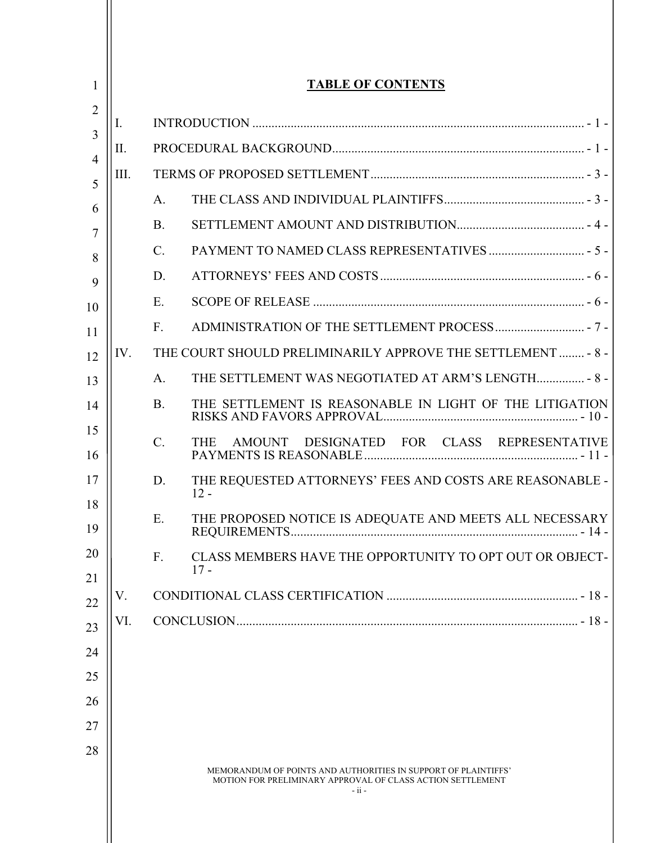| 1                    | <b>TABLE OF CONTENTS</b> |                 |                                                                                                                                         |  |
|----------------------|--------------------------|-----------------|-----------------------------------------------------------------------------------------------------------------------------------------|--|
| 2                    | I.                       |                 |                                                                                                                                         |  |
| 3                    | II.                      |                 |                                                                                                                                         |  |
| 4<br>5               | III.                     |                 |                                                                                                                                         |  |
| 6                    |                          | A.              |                                                                                                                                         |  |
| 7                    |                          | <b>B.</b>       |                                                                                                                                         |  |
| $\mathcal{C}$ .<br>8 |                          |                 |                                                                                                                                         |  |
| 9                    |                          | D.              |                                                                                                                                         |  |
| E.<br>10             |                          |                 |                                                                                                                                         |  |
| 11                   |                          | F.              |                                                                                                                                         |  |
| 12                   | IV.                      |                 | THE COURT SHOULD PRELIMINARILY APPROVE THE SETTLEMENT  - 8 -                                                                            |  |
| 13                   |                          | A.              | THE SETTLEMENT WAS NEGOTIATED AT ARM'S LENGTH 8 -                                                                                       |  |
| 14                   |                          | <b>B.</b>       | THE SETTLEMENT IS REASONABLE IN LIGHT OF THE LITIGATION                                                                                 |  |
| 15<br>16             |                          | $\mathcal{C}$ . | DESIGNATED FOR CLASS REPRESENTATIVE<br><b>THE</b><br>AMOUNT                                                                             |  |
| 17                   |                          | D.              | THE REQUESTED ATTORNEYS' FEES AND COSTS ARE REASONABLE -<br>$12 -$                                                                      |  |
| 18<br>19             |                          | Ε.              | THE PROPOSED NOTICE IS ADEQUATE AND MEETS ALL NECESSARY                                                                                 |  |
| 20                   |                          | F.              | CLASS MEMBERS HAVE THE OPPORTUNITY TO OPT OUT OR OBJECT-<br>$17 -$                                                                      |  |
| 21<br>22             | V.                       |                 |                                                                                                                                         |  |
| 23                   | VI.                      |                 |                                                                                                                                         |  |
| 24                   |                          |                 |                                                                                                                                         |  |
| 25                   |                          |                 |                                                                                                                                         |  |
| 26                   |                          |                 |                                                                                                                                         |  |
| 27                   |                          |                 |                                                                                                                                         |  |
| 28                   |                          |                 |                                                                                                                                         |  |
|                      |                          |                 | MEMORANDUM OF POINTS AND AUTHORITIES IN SUPPORT OF PLAINTIFFS'<br>MOTION FOR PRELIMINARY APPROVAL OF CLASS ACTION SETTLEMENT<br>$-ii -$ |  |

Ш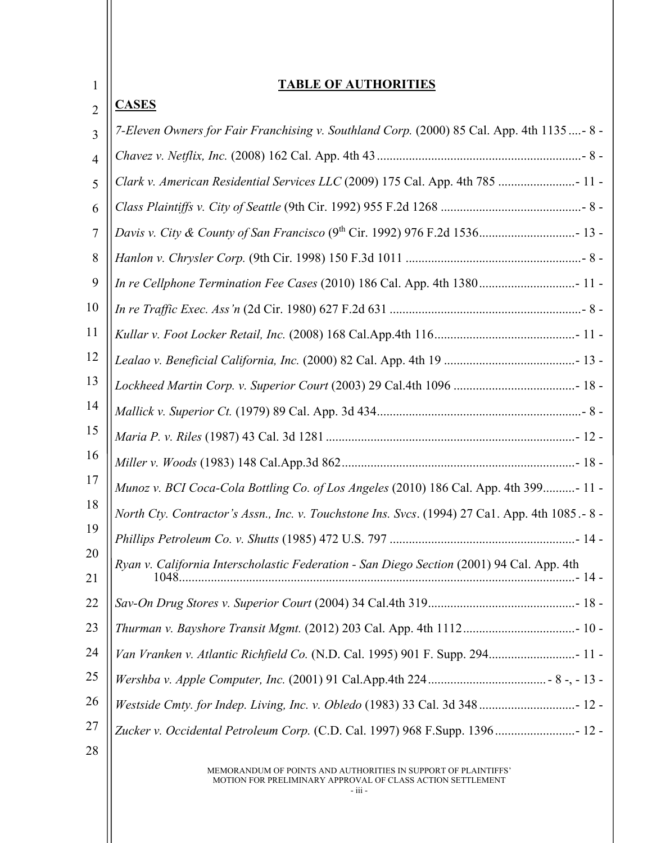| 1              | <u>ABLE OF AUTHORITIES</u>                                                                     |  |  |
|----------------|------------------------------------------------------------------------------------------------|--|--|
| $\overline{2}$ | <b>CASES</b>                                                                                   |  |  |
| $\overline{3}$ | 7-Eleven Owners for Fair Franchising v. Southland Corp. (2000) 85 Cal. App. 4th 1135 - 8 -     |  |  |
| $\overline{4}$ |                                                                                                |  |  |
| 5              | Clark v. American Residential Services LLC (2009) 175 Cal. App. 4th 785  11 -                  |  |  |
| 6              |                                                                                                |  |  |
| 7              |                                                                                                |  |  |
| 8              |                                                                                                |  |  |
| 9              | In re Cellphone Termination Fee Cases (2010) 186 Cal. App. 4th 1380 11 -                       |  |  |
| 10             |                                                                                                |  |  |
| 11             |                                                                                                |  |  |
| 12             |                                                                                                |  |  |
| 13             |                                                                                                |  |  |
| 14             |                                                                                                |  |  |
| 15             |                                                                                                |  |  |
| 16             |                                                                                                |  |  |
| 17             | Munoz v. BCI Coca-Cola Bottling Co. of Los Angeles (2010) 186 Cal. App. 4th 399- 11 -          |  |  |
| 18             | North Cty. Contractor's Assn., Inc. v. Touchstone Ins. Svcs. (1994) 27 Ca1. App. 4th 1085.-8 - |  |  |
| 19             |                                                                                                |  |  |
| 20<br>21       | Ryan v. California Interscholastic Federation - San Diego Section (2001) 94 Cal. App. 4th      |  |  |
| 22             |                                                                                                |  |  |
| 23             |                                                                                                |  |  |
| 24             | Van Vranken v. Atlantic Richfield Co. (N.D. Cal. 1995) 901 F. Supp. 294 11 -                   |  |  |
| 25             |                                                                                                |  |  |
| 26             |                                                                                                |  |  |
| 27             | Zucker v. Occidental Petroleum Corp. (C.D. Cal. 1997) 968 F.Supp. 1396 12 -                    |  |  |
| 28             |                                                                                                |  |  |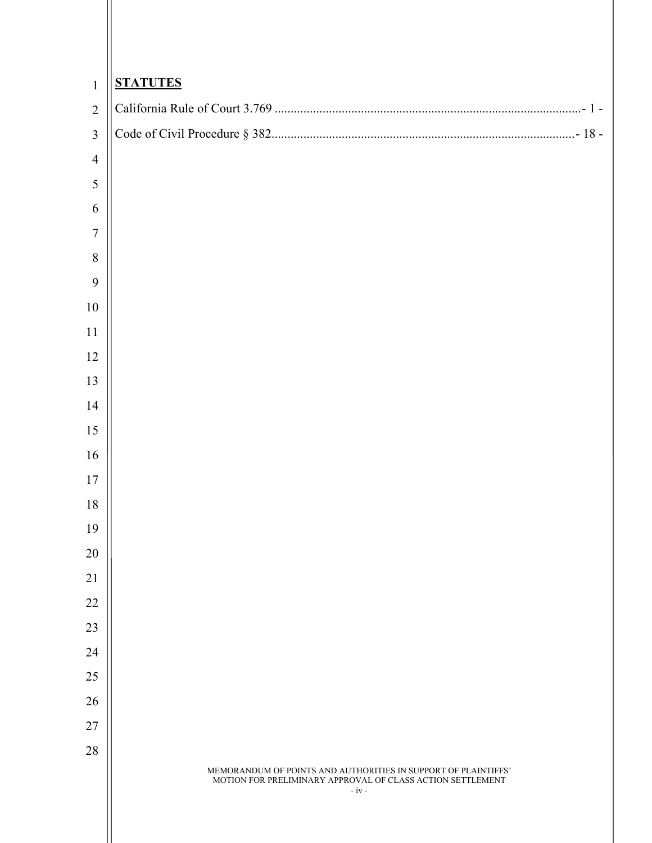| $\mathbf{1}$     | <b>STATUTES</b>                                                                                                                         |  |  |
|------------------|-----------------------------------------------------------------------------------------------------------------------------------------|--|--|
| $\overline{2}$   |                                                                                                                                         |  |  |
| $\overline{3}$   |                                                                                                                                         |  |  |
| $\overline{4}$   |                                                                                                                                         |  |  |
| $\sqrt{5}$       |                                                                                                                                         |  |  |
| 6                |                                                                                                                                         |  |  |
| $\boldsymbol{7}$ |                                                                                                                                         |  |  |
| $\, 8$           |                                                                                                                                         |  |  |
| 9                |                                                                                                                                         |  |  |
| 10               |                                                                                                                                         |  |  |
| 11               |                                                                                                                                         |  |  |
| 12               |                                                                                                                                         |  |  |
| 13               |                                                                                                                                         |  |  |
| 14               |                                                                                                                                         |  |  |
| 15               |                                                                                                                                         |  |  |
| 16               |                                                                                                                                         |  |  |
| 17               |                                                                                                                                         |  |  |
| $18\,$           |                                                                                                                                         |  |  |
| 19               |                                                                                                                                         |  |  |
| 20               |                                                                                                                                         |  |  |
| 21<br>22         |                                                                                                                                         |  |  |
| 23               |                                                                                                                                         |  |  |
| 24               |                                                                                                                                         |  |  |
| 25               |                                                                                                                                         |  |  |
| 26               |                                                                                                                                         |  |  |
| $27\,$           |                                                                                                                                         |  |  |
| $28\,$           |                                                                                                                                         |  |  |
|                  | MEMORANDUM OF POINTS AND AUTHORITIES IN SUPPORT OF PLAINTIFFS'<br>MOTION FOR PRELIMINARY APPROVAL OF CLASS ACTION SETTLEMENT<br>$-iv -$ |  |  |
|                  |                                                                                                                                         |  |  |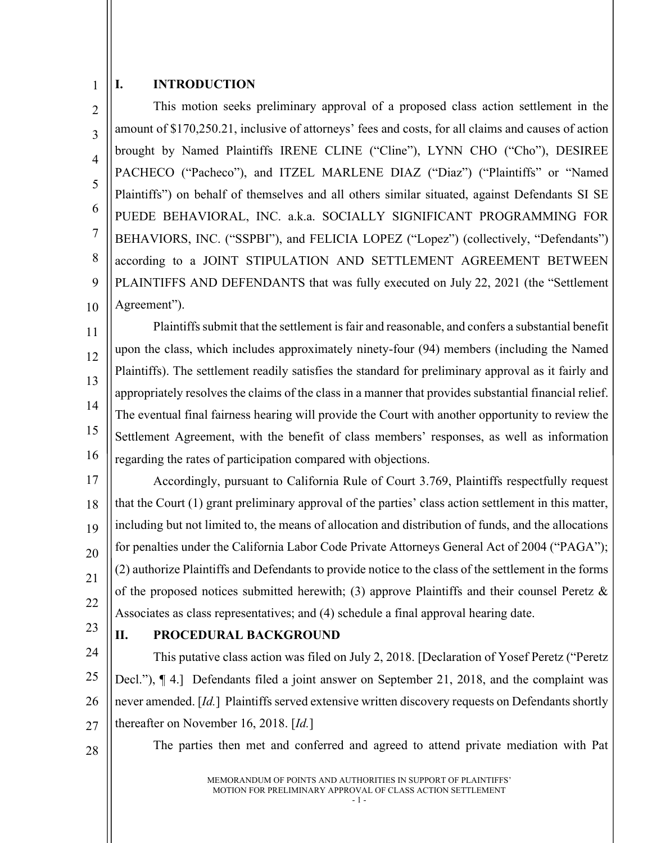#### <span id="page-4-0"></span>1 **I. INTRODUCTION**

 $\mathfrak{D}$ 3 4 5 6 7 8 9 10 This motion seeks preliminary approval of a proposed class action settlement in the amount of \$170,250.21, inclusive of attorneys' fees and costs, for all claims and causes of action brought by Named Plaintiffs IRENE CLINE ("Cline"), LYNN CHO ("Cho"), DESIREE PACHECO ("Pacheco"), and ITZEL MARLENE DIAZ ("Diaz") ("Plaintiffs" or "Named Plaintiffs") on behalf of themselves and all others similar situated, against Defendants SI SE PUEDE BEHAVIORAL, INC. a.k.a. SOCIALLY SIGNIFICANT PROGRAMMING FOR BEHAVIORS, INC. ("SSPBI"), and FELICIA LOPEZ ("Lopez") (collectively, "Defendants") according to a JOINT STIPULATION AND SETTLEMENT AGREEMENT BETWEEN PLAINTIFFS AND DEFENDANTS that was fully executed on July 22, 2021 (the "Settlement Agreement").

11 12 13 14 15 16 Plaintiffs submit that the settlement is fair and reasonable, and confers a substantial benefit upon the class, which includes approximately ninety-four (94) members (including the Named Plaintiffs). The settlement readily satisfies the standard for preliminary approval as it fairly and appropriately resolves the claims of the class in a manner that provides substantial financial relief. The eventual final fairness hearing will provide the Court with another opportunity to review the Settlement Agreement, with the benefit of class members' responses, as well as information regarding the rates of participation compared with objections.

17 18 19 20 21 22 Accordingly, pursuant to California Rule of Court 3.769, Plaintiffs respectfully request that the Court (1) grant preliminary approval of the parties' class action settlement in this matter, including but not limited to, the means of allocation and distribution of funds, and the allocations for penalties under the California Labor Code Private Attorneys General Act of 2004 ("PAGA"); (2) authorize Plaintiffs and Defendants to provide notice to the class of the settlement in the forms of the proposed notices submitted herewith; (3) approve Plaintiffs and their counsel Peretz  $\&$ Associates as class representatives; and (4) schedule a final approval hearing date.

23

#### <span id="page-4-1"></span>**II. PROCEDURAL BACKGROUND**

24 25 26 27 This putative class action was filed on July 2, 2018. [Declaration of Yosef Peretz ("Peretz Decl."), ¶ 4.] Defendants filed a joint answer on September 21, 2018, and the complaint was never amended. [*Id.*] Plaintiffs served extensive written discovery requests on Defendants shortly thereafter on November 16, 2018. [*Id.*]

28

The parties then met and conferred and agreed to attend private mediation with Pat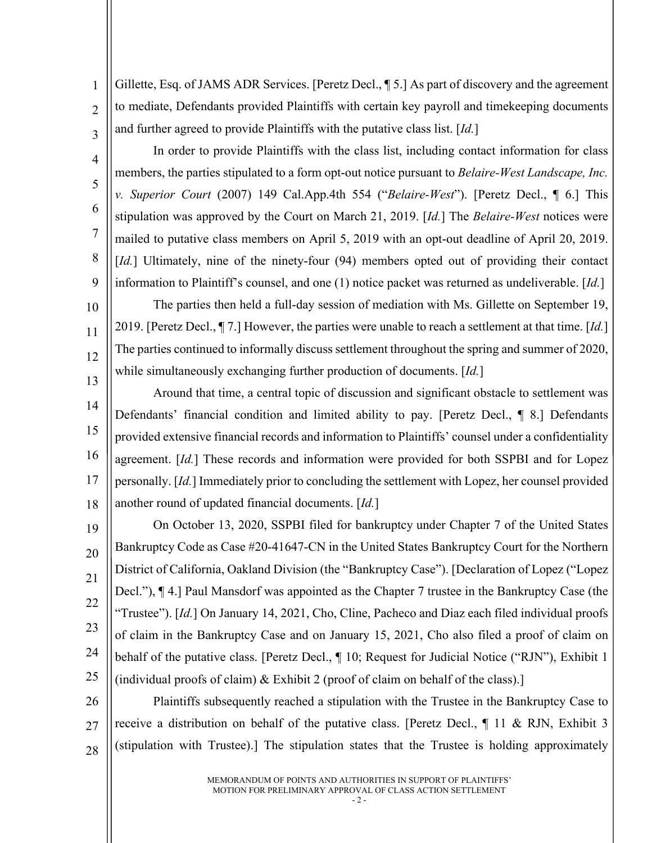Gillette, Esq. of JAMS ADR Services. [Peretz Decl., ¶ 5.] As part of discovery and the agreement to mediate, Defendants provided Plaintiffs with certain key payroll and timekeeping documents and further agreed to provide Plaintiffs with the putative class list. [*Id.*]

1

 $\overline{2}$ 

3

4

5

6

7

8

9

In order to provide Plaintiffs with the class list, including contact information for class members, the parties stipulated to a form opt-out notice pursuant to *Belaire-West Landscape, Inc. v. Superior Court* (2007) 149 Cal.App.4th 554 ("*Belaire-West*"). [Peretz Decl., ¶ 6.] This stipulation was approved by the Court on March 21, 2019. [*Id.*] The *Belaire-West* notices were mailed to putative class members on April 5, 2019 with an opt-out deadline of April 20, 2019. [*Id.*] Ultimately, nine of the ninety-four (94) members opted out of providing their contact information to Plaintiff's counsel, and one (1) notice packet was returned as undeliverable. [*Id.*]

10 11 12 13 The parties then held a full-day session of mediation with Ms. Gillette on September 19, 2019. [Peretz Decl., ¶ 7.] However, the parties were unable to reach a settlement at that time. [*Id.*] The parties continued to informally discuss settlement throughout the spring and summer of 2020, while simultaneously exchanging further production of documents. [*Id.*]

14 15 16 17 18 Around that time, a central topic of discussion and significant obstacle to settlement was Defendants' financial condition and limited ability to pay. [Peretz Decl., ¶ 8.] Defendants provided extensive financial records and information to Plaintiffs' counsel under a confidentiality agreement. [*Id.*] These records and information were provided for both SSPBI and for Lopez personally. [*Id.*] Immediately prior to concluding the settlement with Lopez, her counsel provided another round of updated financial documents. [*Id.*]

19 20 21 22 23 24 25 On October 13, 2020, SSPBI filed for bankruptcy under Chapter 7 of the United States Bankruptcy Code as Case #20-41647-CN in the United States Bankruptcy Court for the Northern District of California, Oakland Division (the "Bankruptcy Case"). [Declaration of Lopez ("Lopez Decl."), ¶ 4.] Paul Mansdorf was appointed as the Chapter 7 trustee in the Bankruptcy Case (the "Trustee"). [*Id.*] On January 14, 2021, Cho, Cline, Pacheco and Diaz each filed individual proofs of claim in the Bankruptcy Case and on January 15, 2021, Cho also filed a proof of claim on behalf of the putative class. [Peretz Decl.,  $\P$  10; Request for Judicial Notice ("RJN"), Exhibit 1 (individual proofs of claim)  $&$  Exhibit 2 (proof of claim on behalf of the class).]

26 27 28 Plaintiffs subsequently reached a stipulation with the Trustee in the Bankruptcy Case to receive a distribution on behalf of the putative class. [Peretz Decl., ¶ 11 & RJN, Exhibit 3 (stipulation with Trustee).] The stipulation states that the Trustee is holding approximately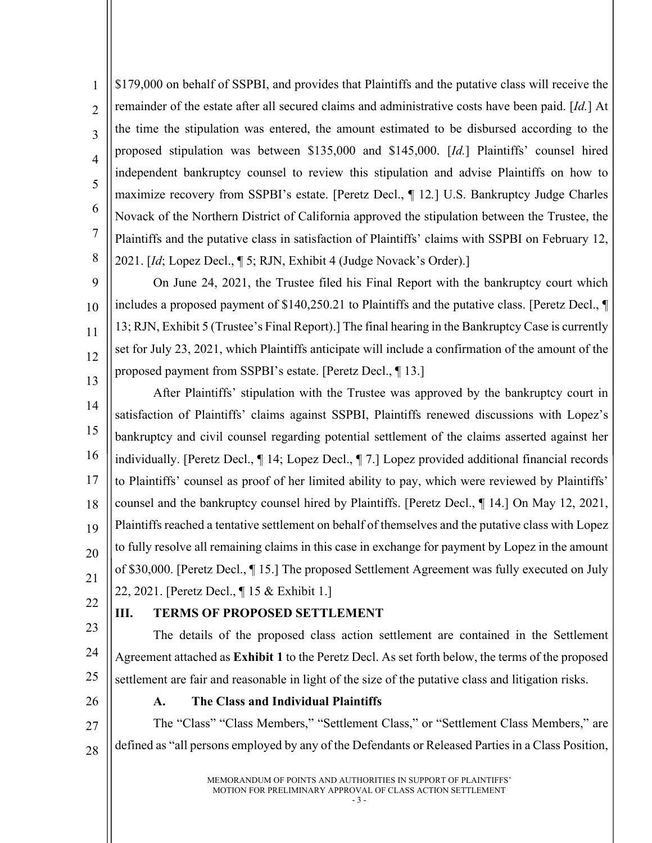1  $\overline{2}$ 3 4 5 6 7 8 \$179,000 on behalf of SSPBI, and provides that Plaintiffs and the putative class will receive the remainder of the estate after all secured claims and administrative costs have been paid. [*Id.*] At the time the stipulation was entered, the amount estimated to be disbursed according to the proposed stipulation was between \$135,000 and \$145,000. [*Id.*] Plaintiffs' counsel hired independent bankruptcy counsel to review this stipulation and advise Plaintiffs on how to maximize recovery from SSPBI's estate. [Peretz Decl., ¶ 12*.*] U.S. Bankruptcy Judge Charles Novack of the Northern District of California approved the stipulation between the Trustee, the Plaintiffs and the putative class in satisfaction of Plaintiffs' claims with SSPBI on February 12, 2021. [*Id*; Lopez Decl., ¶ 5; RJN, Exhibit 4 (Judge Novack's Order).]

 $\overline{Q}$ 10 11 12 13 On June 24, 2021, the Trustee filed his Final Report with the bankruptcy court which includes a proposed payment of \$140,250.21 to Plaintiffs and the putative class. [Peretz Decl., ¶ 13; RJN, Exhibit 5 (Trustee's Final Report).] The final hearing in the Bankruptcy Case is currently set for July 23, 2021, which Plaintiffs anticipate will include a confirmation of the amount of the proposed payment from SSPBI's estate. [Peretz Decl., ¶ 13.]

14 15 16 17 18 19 20 21 After Plaintiffs' stipulation with the Trustee was approved by the bankruptcy court in satisfaction of Plaintiffs' claims against SSPBI, Plaintiffs renewed discussions with Lopez's bankruptcy and civil counsel regarding potential settlement of the claims asserted against her individually. [Peretz Decl., ¶ 14; Lopez Decl., ¶ 7.] Lopez provided additional financial records to Plaintiffs' counsel as proof of her limited ability to pay, which were reviewed by Plaintiffs' counsel and the bankruptcy counsel hired by Plaintiffs. [Peretz Decl., ¶ 14.] On May 12, 2021, Plaintiffs reached a tentative settlement on behalf of themselves and the putative class with Lopez to fully resolve all remaining claims in this case in exchange for payment by Lopez in the amount of \$30,000. [Peretz Decl., ¶ 15.] The proposed Settlement Agreement was fully executed on July 22, 2021. [Peretz Decl., ¶ 15 & Exhibit 1.]

22

## <span id="page-6-0"></span>**III. TERMS OF PROPOSED SETTLEMENT**

23 24 25 The details of the proposed class action settlement are contained in the Settlement Agreement attached as **Exhibit 1** to the Peretz Decl. As set forth below, the terms of the proposed settlement are fair and reasonable in light of the size of the putative class and litigation risks.

<span id="page-6-1"></span>26

#### **A. The Class and Individual Plaintiffs**

27 28 The "Class" "Class Members," "Settlement Class," or "Settlement Class Members," are defined as "all persons employed by any of the Defendants or Released Parties in a Class Position,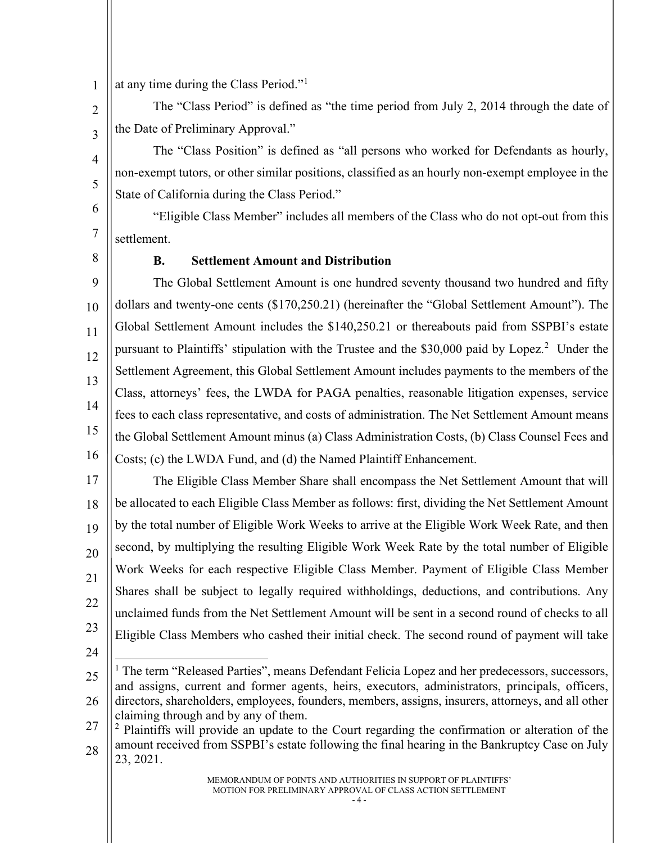1 at any time during the Class Period."[1](#page-7-1)

 $\mathfrak{D}$ 3 The "Class Period" is defined as "the time period from July 2, 2014 through the date of the Date of Preliminary Approval."

The "Class Position" is defined as "all persons who worked for Defendants as hourly, non-exempt tutors, or other similar positions, classified as an hourly non-exempt employee in the State of California during the Class Period."

6 7 "Eligible Class Member" includes all members of the Class who do not opt-out from this settlement.

<span id="page-7-0"></span>8

4

5

#### **B. Settlement Amount and Distribution**

 $\overline{Q}$ 10 11 12 13 14 15 16 The Global Settlement Amount is one hundred seventy thousand two hundred and fifty dollars and twenty-one cents (\$170,250.21) (hereinafter the "Global Settlement Amount"). The Global Settlement Amount includes the \$140,250.21 or thereabouts paid from SSPBI's estate pursuant to Plaintiffs' stipulation with the Trustee and the \$30,000 paid by Lopez.<sup>[2](#page-7-2)</sup> Under the Settlement Agreement, this Global Settlement Amount includes payments to the members of the Class, attorneys' fees, the LWDA for PAGA penalties, reasonable litigation expenses, service fees to each class representative, and costs of administration. The Net Settlement Amount means the Global Settlement Amount minus (a) Class Administration Costs, (b) Class Counsel Fees and Costs; (c) the LWDA Fund, and (d) the Named Plaintiff Enhancement.

17 18 19 20 21 22 23 The Eligible Class Member Share shall encompass the Net Settlement Amount that will be allocated to each Eligible Class Member as follows: first, dividing the Net Settlement Amount by the total number of Eligible Work Weeks to arrive at the Eligible Work Week Rate, and then second, by multiplying the resulting Eligible Work Week Rate by the total number of Eligible Work Weeks for each respective Eligible Class Member. Payment of Eligible Class Member Shares shall be subject to legally required withholdings, deductions, and contributions. Any unclaimed funds from the Net Settlement Amount will be sent in a second round of checks to all Eligible Class Members who cashed their initial check. The second round of payment will take

24

<span id="page-7-1"></span><sup>25</sup> 26 <sup>1</sup> The term "Released Parties", means Defendant Felicia Lopez and her predecessors, successors, and assigns, current and former agents, heirs, executors, administrators, principals, officers, directors, shareholders, employees, founders, members, assigns, insurers, attorneys, and all other claiming through and by any of them.

<span id="page-7-2"></span><sup>27</sup> 28 <sup>2</sup> Plaintiffs will provide an update to the Court regarding the confirmation or alteration of the amount received from SSPBI's estate following the final hearing in the Bankruptcy Case on July 23, 2021.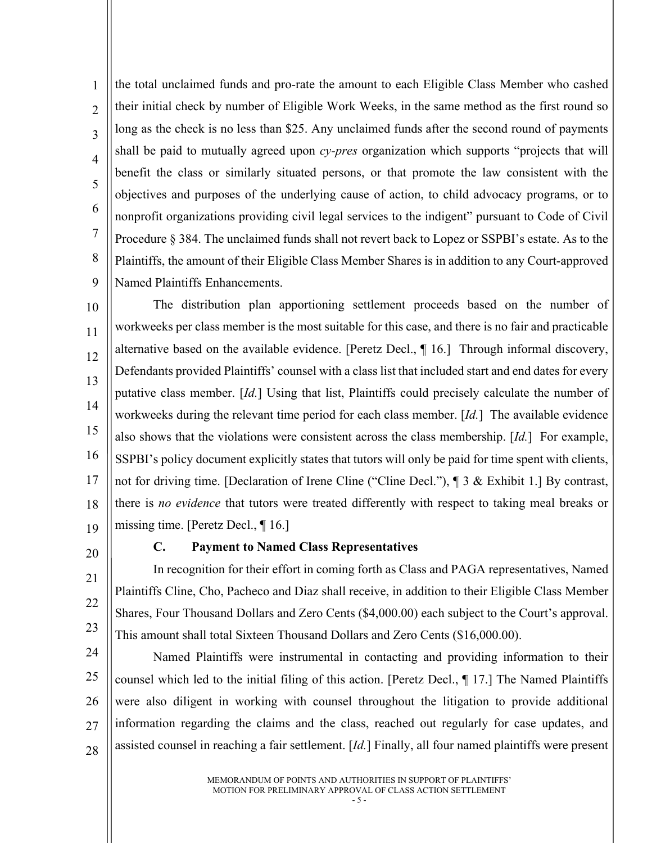1  $\mathfrak{D}$ 3 4 5 6 7 8 9 the total unclaimed funds and pro-rate the amount to each Eligible Class Member who cashed their initial check by number of Eligible Work Weeks, in the same method as the first round so long as the check is no less than \$25. Any unclaimed funds after the second round of payments shall be paid to mutually agreed upon *cy-pres* organization which supports "projects that will benefit the class or similarly situated persons, or that promote the law consistent with the objectives and purposes of the underlying cause of action, to child advocacy programs, or to nonprofit organizations providing civil legal services to the indigent" pursuant to Code of Civil Procedure § 384. The unclaimed funds shall not revert back to Lopez or SSPBI's estate. As to the Plaintiffs, the amount of their Eligible Class Member Shares is in addition to any Court-approved Named Plaintiffs Enhancements.

10 11 12 13 14 15 16 17 18 19 The distribution plan apportioning settlement proceeds based on the number of workweeks per class member is the most suitable for this case, and there is no fair and practicable alternative based on the available evidence. [Peretz Decl., ¶ 16.] Through informal discovery, Defendants provided Plaintiffs' counsel with a class list that included start and end dates for every putative class member. [*Id.*] Using that list, Plaintiffs could precisely calculate the number of workweeks during the relevant time period for each class member. [*Id.*] The available evidence also shows that the violations were consistent across the class membership. [*Id.*] For example, SSPBI's policy document explicitly states that tutors will only be paid for time spent with clients, not for driving time. [Declaration of Irene Cline ("Cline Decl."), ¶ 3 & Exhibit 1.] By contrast, there is *no evidence* that tutors were treated differently with respect to taking meal breaks or missing time. [Peretz Decl., ¶ 16.]

<span id="page-8-0"></span>20

21

22

#### **C. Payment to Named Class Representatives**

23 In recognition for their effort in coming forth as Class and PAGA representatives, Named Plaintiffs Cline, Cho, Pacheco and Diaz shall receive, in addition to their Eligible Class Member Shares, Four Thousand Dollars and Zero Cents (\$4,000.00) each subject to the Court's approval. This amount shall total Sixteen Thousand Dollars and Zero Cents (\$16,000.00).

24 25 26 27 28 Named Plaintiffs were instrumental in contacting and providing information to their counsel which led to the initial filing of this action. [Peretz Decl., ¶ 17.] The Named Plaintiffs were also diligent in working with counsel throughout the litigation to provide additional information regarding the claims and the class, reached out regularly for case updates, and assisted counsel in reaching a fair settlement. [*Id.*] Finally, all four named plaintiffs were present

> MEMORANDUM OF POINTS AND AUTHORITIES IN SUPPORT OF PLAINTIFFS' MOTION FOR PRELIMINARY APPROVAL OF CLASS ACTION SETTLEMENT

- 5 -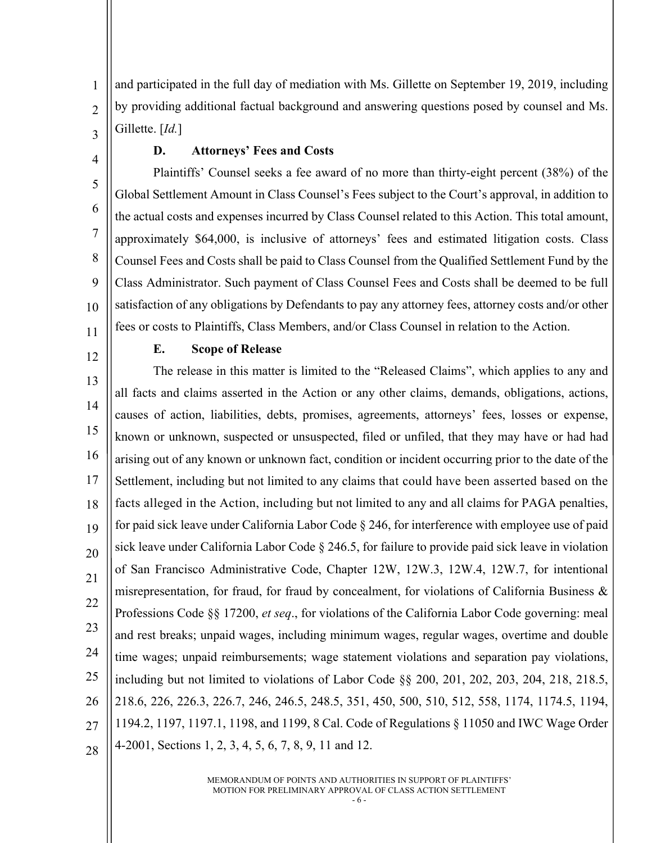1  $\overline{2}$ 3 and participated in the full day of mediation with Ms. Gillette on September 19, 2019, including by providing additional factual background and answering questions posed by counsel and Ms. Gillette. [*Id.*]

<span id="page-9-0"></span>4

5

6

7

8

9

10

#### **D. Attorneys' Fees and Costs**

Plaintiffs' Counsel seeks a fee award of no more than thirty-eight percent (38%) of the Global Settlement Amount in Class Counsel's Fees subject to the Court's approval, in addition to the actual costs and expenses incurred by Class Counsel related to this Action. This total amount, approximately \$64,000, is inclusive of attorneys' fees and estimated litigation costs. Class Counsel Fees and Costs shall be paid to Class Counsel from the Qualified Settlement Fund by the Class Administrator. Such payment of Class Counsel Fees and Costs shall be deemed to be full satisfaction of any obligations by Defendants to pay any attorney fees, attorney costs and/or other fees or costs to Plaintiffs, Class Members, and/or Class Counsel in relation to the Action.

<span id="page-9-1"></span>11 12

#### **E. Scope of Release**

13 14 15 16 17 18 19 20 21 22 23 24 25 26 27 28 The release in this matter is limited to the "Released Claims", which applies to any and all facts and claims asserted in the Action or any other claims, demands, obligations, actions, causes of action, liabilities, debts, promises, agreements, attorneys' fees, losses or expense, known or unknown, suspected or unsuspected, filed or unfiled, that they may have or had had arising out of any known or unknown fact, condition or incident occurring prior to the date of the Settlement, including but not limited to any claims that could have been asserted based on the facts alleged in the Action, including but not limited to any and all claims for PAGA penalties, for paid sick leave under California Labor Code § 246, for interference with employee use of paid sick leave under California Labor Code § 246.5, for failure to provide paid sick leave in violation of San Francisco Administrative Code, Chapter 12W, 12W.3, 12W.4, 12W.7, for intentional misrepresentation, for fraud, for fraud by concealment, for violations of California Business & Professions Code §§ 17200, *et seq*., for violations of the California Labor Code governing: meal and rest breaks; unpaid wages, including minimum wages, regular wages, overtime and double time wages; unpaid reimbursements; wage statement violations and separation pay violations, including but not limited to violations of Labor Code §§ 200, 201, 202, 203, 204, 218, 218.5, 218.6, 226, 226.3, 226.7, 246, 246.5, 248.5, 351, 450, 500, 510, 512, 558, 1174, 1174.5, 1194, 1194.2, 1197, 1197.1, 1198, and 1199, 8 Cal. Code of Regulations § 11050 and IWC Wage Order 4-2001, Sections 1, 2, 3, 4, 5, 6, 7, 8, 9, 11 and 12.

> MEMORANDUM OF POINTS AND AUTHORITIES IN SUPPORT OF PLAINTIFFS' MOTION FOR PRELIMINARY APPROVAL OF CLASS ACTION SETTLEMENT

- 6 -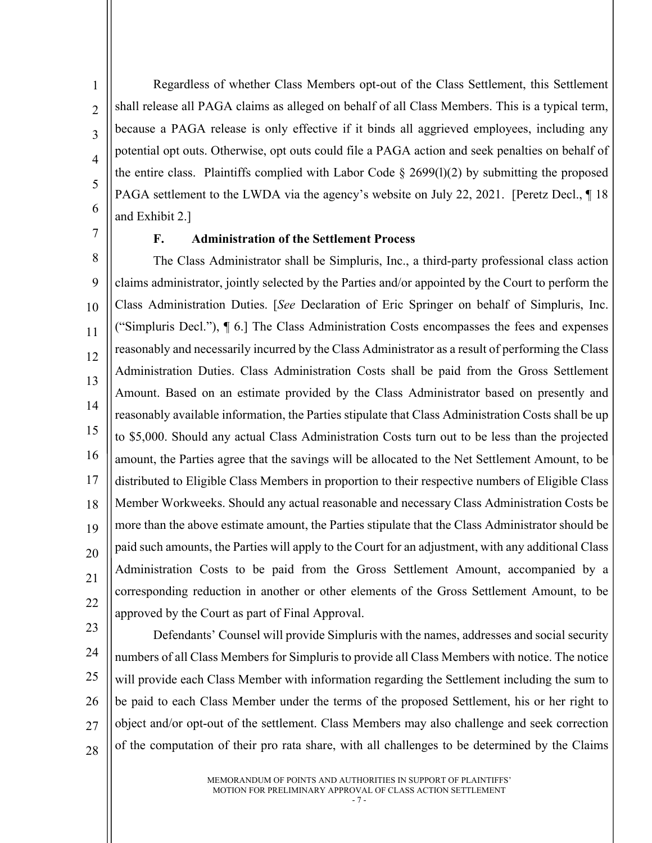Regardless of whether Class Members opt-out of the Class Settlement, this Settlement shall release all PAGA claims as alleged on behalf of all Class Members. This is a typical term, because a PAGA release is only effective if it binds all aggrieved employees, including any potential opt outs. Otherwise, opt outs could file a PAGA action and seek penalties on behalf of the entire class. Plaintiffs complied with Labor Code  $\S$  2699(1)(2) by submitting the proposed PAGA settlement to the LWDA via the agency's website on July 22, 2021. [Peretz Decl., 18] and Exhibit 2.]

<span id="page-10-0"></span>7

1

 $\overline{2}$ 

3

4

5

6

#### **F. Administration of the Settlement Process**

8 9 10 11 12 13 14 15 16 17 18 19 20 21 22 The Class Administrator shall be Simpluris, Inc., a third-party professional class action claims administrator, jointly selected by the Parties and/or appointed by the Court to perform the Class Administration Duties. [*See* Declaration of Eric Springer on behalf of Simpluris, Inc. ("Simpluris Decl."), ¶ 6.] The Class Administration Costs encompasses the fees and expenses reasonably and necessarily incurred by the Class Administrator as a result of performing the Class Administration Duties. Class Administration Costs shall be paid from the Gross Settlement Amount. Based on an estimate provided by the Class Administrator based on presently and reasonably available information, the Parties stipulate that Class Administration Costs shall be up to \$5,000. Should any actual Class Administration Costs turn out to be less than the projected amount, the Parties agree that the savings will be allocated to the Net Settlement Amount, to be distributed to Eligible Class Members in proportion to their respective numbers of Eligible Class Member Workweeks. Should any actual reasonable and necessary Class Administration Costs be more than the above estimate amount, the Parties stipulate that the Class Administrator should be paid such amounts, the Parties will apply to the Court for an adjustment, with any additional Class Administration Costs to be paid from the Gross Settlement Amount, accompanied by a corresponding reduction in another or other elements of the Gross Settlement Amount, to be approved by the Court as part of Final Approval.

23

24 25 26 27 28 Defendants' Counsel will provide Simpluris with the names, addresses and social security numbers of all Class Members for Simpluris to provide all Class Members with notice. The notice will provide each Class Member with information regarding the Settlement including the sum to be paid to each Class Member under the terms of the proposed Settlement, his or her right to object and/or opt-out of the settlement. Class Members may also challenge and seek correction of the computation of their pro rata share, with all challenges to be determined by the Claims

> MEMORANDUM OF POINTS AND AUTHORITIES IN SUPPORT OF PLAINTIFFS' MOTION FOR PRELIMINARY APPROVAL OF CLASS ACTION SETTLEMENT

- 7 -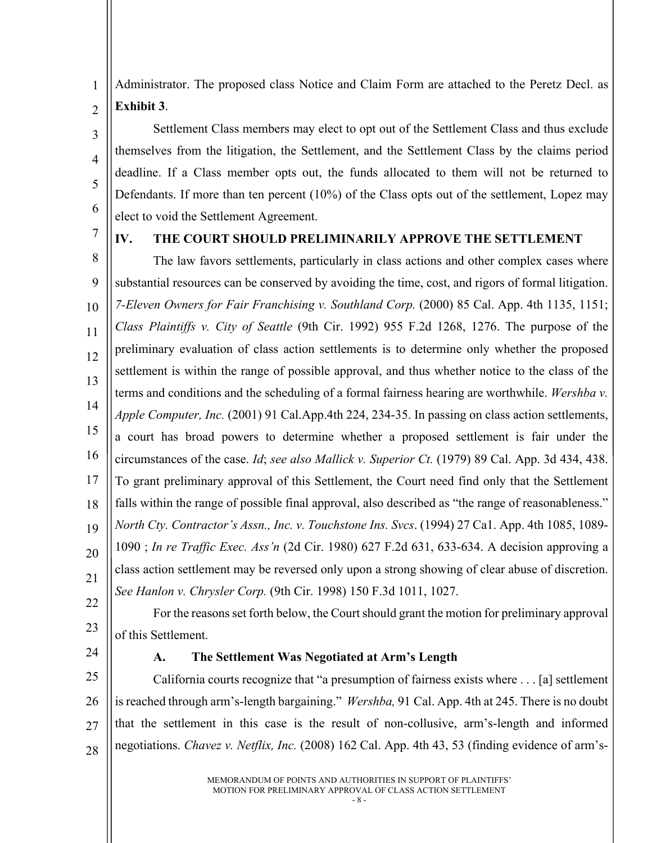Administrator. The proposed class Notice and Claim Form are attached to the Peretz Decl. as **Exhibit 3**.

Settlement Class members may elect to opt out of the Settlement Class and thus exclude themselves from the litigation, the Settlement, and the Settlement Class by the claims period deadline. If a Class member opts out, the funds allocated to them will not be returned to Defendants. If more than ten percent (10%) of the Class opts out of the settlement, Lopez may elect to void the Settlement Agreement.

7

1

 $\overline{2}$ 

3

4

5

6

#### <span id="page-11-0"></span>**IV. THE COURT SHOULD PRELIMINARILY APPROVE THE SETTLEMENT**

8 9 10 11 12 13 14 15 16 17 18 19 20 21 The law favors settlements, particularly in class actions and other complex cases where substantial resources can be conserved by avoiding the time, cost, and rigors of formal litigation. *7-Eleven Owners for Fair Franchising v. Southland Corp.* (2000) 85 Cal. App. 4th 1135, 1151; *Class Plaintiffs v. City of Seattle* (9th Cir. 1992) 955 F.2d 1268, 1276. The purpose of the preliminary evaluation of class action settlements is to determine only whether the proposed settlement is within the range of possible approval, and thus whether notice to the class of the terms and conditions and the scheduling of a formal fairness hearing are worthwhile. *Wershba v. Apple Computer, Inc.* (2001) 91 Cal.App.4th 224, 234-35. In passing on class action settlements, a court has broad powers to determine whether a proposed settlement is fair under the circumstances of the case. *Id*; *see also Mallick v. Superior Ct.* (1979) 89 Cal. App. 3d 434, 438. To grant preliminary approval of this Settlement, the Court need find only that the Settlement falls within the range of possible final approval, also described as "the range of reasonableness." *North Cty. Contractor's Assn., Inc. v. Touchstone Ins. Svcs*. (1994) 27 Ca1. App. 4th 1085, 1089- 1090 ; *In re Traffic Exec. Ass'n* (2d Cir. 1980) 627 F.2d 631, 633-634. A decision approving a class action settlement may be reversed only upon a strong showing of clear abuse of discretion. *See Hanlon v. Chrysler Corp.* (9th Cir. 1998) 150 F.3d 1011, 1027.

- 22 23
- For the reasons set forth below, the Court should grant the motion for preliminary approval of this Settlement.
- <span id="page-11-1"></span>24

#### **A. The Settlement Was Negotiated at Arm's Length**

25 26 27 28 California courts recognize that "a presumption of fairness exists where . . . [a] settlement is reached through arm's-length bargaining." *Wershba,* 91 Cal. App. 4th at 245. There is no doubt that the settlement in this case is the result of non-collusive, arm's-length and informed negotiations. *Chavez v. Netflix, Inc.* (2008) 162 Cal. App. 4th 43, 53 (finding evidence of arm's-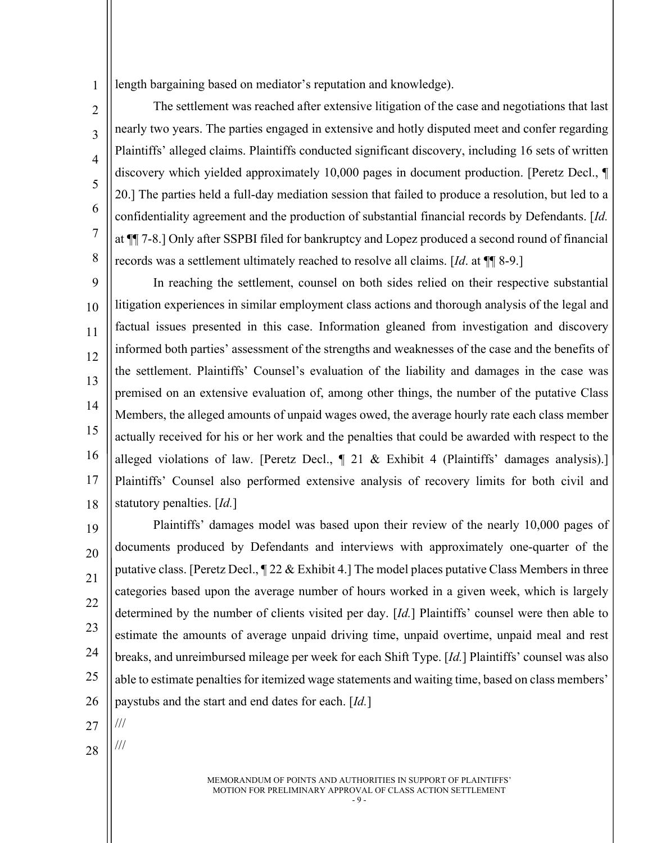1 length bargaining based on mediator's reputation and knowledge).

The settlement was reached after extensive litigation of the case and negotiations that last nearly two years. The parties engaged in extensive and hotly disputed meet and confer regarding Plaintiffs' alleged claims. Plaintiffs conducted significant discovery, including 16 sets of written discovery which yielded approximately 10,000 pages in document production. [Peretz Decl., ¶ 20.] The parties held a full-day mediation session that failed to produce a resolution, but led to a confidentiality agreement and the production of substantial financial records by Defendants. [*Id.* at ¶¶ 7-8.] Only after SSPBI filed for bankruptcy and Lopez produced a second round of financial records was a settlement ultimately reached to resolve all claims. [*Id*. at ¶¶ 8-9.]

 $\overline{Q}$ 10 11 12 13 14 15 16 17 18 In reaching the settlement, counsel on both sides relied on their respective substantial litigation experiences in similar employment class actions and thorough analysis of the legal and factual issues presented in this case. Information gleaned from investigation and discovery informed both parties' assessment of the strengths and weaknesses of the case and the benefits of the settlement. Plaintiffs' Counsel's evaluation of the liability and damages in the case was premised on an extensive evaluation of, among other things, the number of the putative Class Members, the alleged amounts of unpaid wages owed, the average hourly rate each class member actually received for his or her work and the penalties that could be awarded with respect to the alleged violations of law. [Peretz Decl.,  $\parallel$  21 & Exhibit 4 (Plaintiffs' damages analysis).] Plaintiffs' Counsel also performed extensive analysis of recovery limits for both civil and statutory penalties. [*Id.*]

19 20 21 22 23 24 25 26 Plaintiffs' damages model was based upon their review of the nearly 10,000 pages of documents produced by Defendants and interviews with approximately one-quarter of the putative class. [Peretz Decl.,  $\sqrt{22} \&$  Exhibit 4.] The model places putative Class Members in three categories based upon the average number of hours worked in a given week, which is largely determined by the number of clients visited per day. [*Id.*] Plaintiffs' counsel were then able to estimate the amounts of average unpaid driving time, unpaid overtime, unpaid meal and rest breaks, and unreimbursed mileage per week for each Shift Type. [*Id.*] Plaintiffs' counsel was also able to estimate penalties for itemized wage statements and waiting time, based on class members' paystubs and the start and end dates for each. [*Id.*]

27 ///

 $\mathfrak{D}$ 

3

4

5

6

7

8

28

///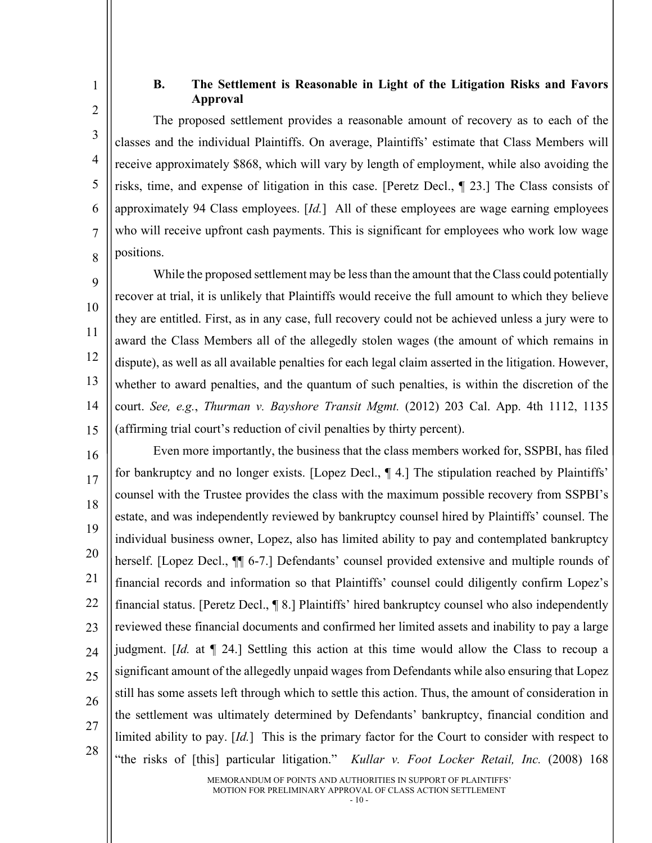<span id="page-13-0"></span>1 2

3

4

5

6

7

8

### **B. The Settlement is Reasonable in Light of the Litigation Risks and Favors Approval**

The proposed settlement provides a reasonable amount of recovery as to each of the classes and the individual Plaintiffs. On average, Plaintiffs' estimate that Class Members will receive approximately \$868, which will vary by length of employment, while also avoiding the risks, time, and expense of litigation in this case. [Peretz Decl., ¶ 23.] The Class consists of approximately 94 Class employees. [*Id.*] All of these employees are wage earning employees who will receive upfront cash payments. This is significant for employees who work low wage positions.

 $\overline{Q}$ 10 11 12 13 14 15 While the proposed settlement may be less than the amount that the Class could potentially recover at trial, it is unlikely that Plaintiffs would receive the full amount to which they believe they are entitled. First, as in any case, full recovery could not be achieved unless a jury were to award the Class Members all of the allegedly stolen wages (the amount of which remains in dispute), as well as all available penalties for each legal claim asserted in the litigation. However, whether to award penalties, and the quantum of such penalties, is within the discretion of the court. *See, e.g.*, *Thurman v. Bayshore Transit Mgmt.* (2012) 203 Cal. App. 4th 1112, 1135 (affirming trial court's reduction of civil penalties by thirty percent).

16 17 18 19 20 21 22 23 24 25 26 27 28 Even more importantly, the business that the class members worked for, SSPBI, has filed for bankruptcy and no longer exists. [Lopez Decl., ¶ 4.] The stipulation reached by Plaintiffs' counsel with the Trustee provides the class with the maximum possible recovery from SSPBI's estate, and was independently reviewed by bankruptcy counsel hired by Plaintiffs' counsel. The individual business owner, Lopez, also has limited ability to pay and contemplated bankruptcy herself. [Lopez Decl.,  $\P$  6-7.] Defendants' counsel provided extensive and multiple rounds of financial records and information so that Plaintiffs' counsel could diligently confirm Lopez's financial status. [Peretz Decl., ¶ 8.] Plaintiffs' hired bankruptcy counsel who also independently reviewed these financial documents and confirmed her limited assets and inability to pay a large judgment. [*Id.* at ¶ 24.] Settling this action at this time would allow the Class to recoup a significant amount of the allegedly unpaid wages from Defendants while also ensuring that Lopez still has some assets left through which to settle this action. Thus, the amount of consideration in the settlement was ultimately determined by Defendants' bankruptcy, financial condition and limited ability to pay. [*Id.*] This is the primary factor for the Court to consider with respect to "the risks of [this] particular litigation." *Kullar v. Foot Locker Retail, Inc.* (2008) 168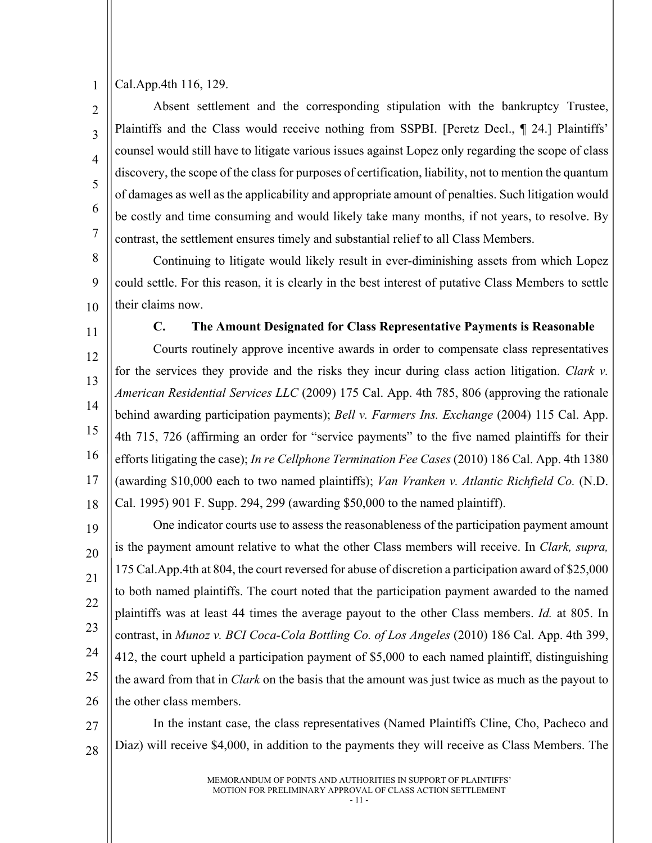1 Cal.App.4th 116, 129.

 $\mathfrak{D}$ 3 4 5 6 7 Absent settlement and the corresponding stipulation with the bankruptcy Trustee, Plaintiffs and the Class would receive nothing from SSPBI. [Peretz Decl., 1 24.] Plaintiffs' counsel would still have to litigate various issues against Lopez only regarding the scope of class discovery, the scope of the class for purposes of certification, liability, not to mention the quantum of damages as well as the applicability and appropriate amount of penalties. Such litigation would be costly and time consuming and would likely take many months, if not years, to resolve. By contrast, the settlement ensures timely and substantial relief to all Class Members.

8 9 10 Continuing to litigate would likely result in ever-diminishing assets from which Lopez could settle. For this reason, it is clearly in the best interest of putative Class Members to settle their claims now.

<span id="page-14-0"></span>11 12 13 14 15 16 17 18 **C. The Amount Designated for Class Representative Payments is Reasonable** Courts routinely approve incentive awards in order to compensate class representatives for the services they provide and the risks they incur during class action litigation. *Clark v. American Residential Services LLC* (2009) 175 Cal. App. 4th 785, 806 (approving the rationale behind awarding participation payments); *Bell v. Farmers Ins. Exchange* (2004) 115 Cal. App. 4th 715, 726 (affirming an order for "service payments" to the five named plaintiffs for their efforts litigating the case); *In re Cellphone Termination Fee Cases* (2010) 186 Cal. App. 4th 1380 (awarding \$10,000 each to two named plaintiffs); *Van Vranken v. Atlantic Richfield Co.* (N.D. Cal. 1995) 901 F. Supp. 294, 299 (awarding \$50,000 to the named plaintiff).

19 20 21 22 23 24 25 26 One indicator courts use to assess the reasonableness of the participation payment amount is the payment amount relative to what the other Class members will receive. In *Clark, supra,*  175 Cal.App.4th at 804, the court reversed for abuse of discretion a participation award of \$25,000 to both named plaintiffs. The court noted that the participation payment awarded to the named plaintiffs was at least 44 times the average payout to the other Class members. *Id.* at 805. In contrast, in *Munoz v. BCI Coca-Cola Bottling Co. of Los Angeles* (2010) 186 Cal. App. 4th 399, 412, the court upheld a participation payment of \$5,000 to each named plaintiff, distinguishing the award from that in *Clark* on the basis that the amount was just twice as much as the payout to the other class members.

27 28 In the instant case, the class representatives (Named Plaintiffs Cline, Cho, Pacheco and Diaz) will receive \$4,000, in addition to the payments they will receive as Class Members. The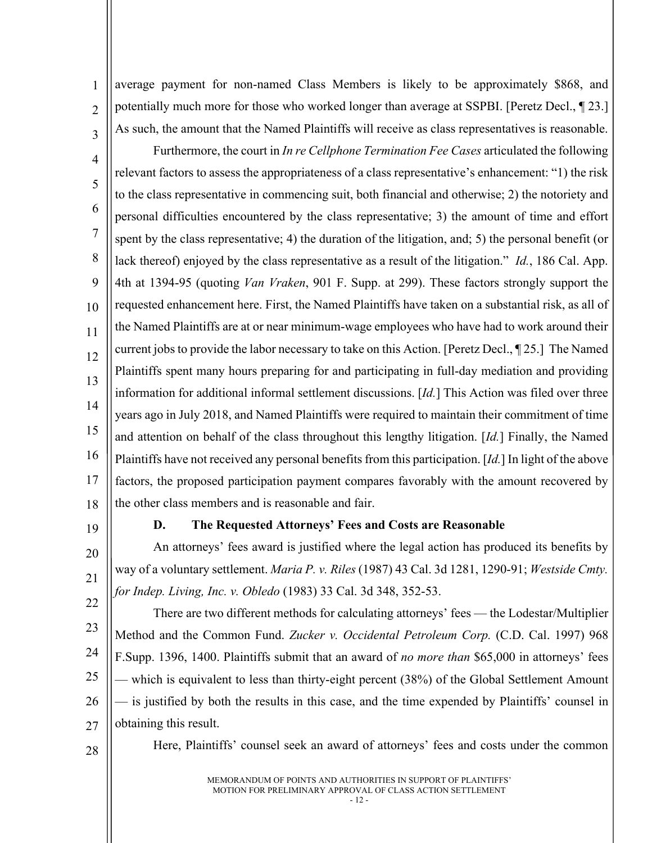average payment for non-named Class Members is likely to be approximately \$868, and potentially much more for those who worked longer than average at SSPBI. [Peretz Decl., ¶ 23.] As such, the amount that the Named Plaintiffs will receive as class representatives is reasonable.

4 5 6 7 8 9 10 11 12 13 14 15 16 17 18 Furthermore, the court in *In re Cellphone Termination Fee Cases* articulated the following relevant factors to assess the appropriateness of a class representative's enhancement: "1) the risk to the class representative in commencing suit, both financial and otherwise; 2) the notoriety and personal difficulties encountered by the class representative; 3) the amount of time and effort spent by the class representative; 4) the duration of the litigation, and; 5) the personal benefit (or lack thereof) enjoyed by the class representative as a result of the litigation." *Id.*, 186 Cal. App. 4th at 1394-95 (quoting *Van Vraken*, 901 F. Supp. at 299). These factors strongly support the requested enhancement here. First, the Named Plaintiffs have taken on a substantial risk, as all of the Named Plaintiffs are at or near minimum-wage employees who have had to work around their current jobs to provide the labor necessary to take on this Action. [Peretz Decl., ¶ 25.] The Named Plaintiffs spent many hours preparing for and participating in full-day mediation and providing information for additional informal settlement discussions. [*Id.*] This Action was filed over three years ago in July 2018, and Named Plaintiffs were required to maintain their commitment of time and attention on behalf of the class throughout this lengthy litigation. [*Id.*] Finally, the Named Plaintiffs have not received any personal benefits from this participation. [*Id.*] In light of the above factors, the proposed participation payment compares favorably with the amount recovered by the other class members and is reasonable and fair.

19

20

21

22

1

 $\overline{2}$ 

3

#### **D. The Requested Attorneys' Fees and Costs are Reasonable**

<span id="page-15-0"></span>An attorneys' fees award is justified where the legal action has produced its benefits by way of a voluntary settlement. *Maria P. v. Riles* (1987) 43 Cal. 3d 1281, 1290-91; *Westside Cmty. for Indep. Living, Inc. v. Obledo* (1983) 33 Cal. 3d 348, 352-53.

23 24 25 26 27 There are two different methods for calculating attorneys' fees — the Lodestar/Multiplier Method and the Common Fund. *Zucker v. Occidental Petroleum Corp.* (C.D. Cal. 1997) 968 F.Supp. 1396, 1400. Plaintiffs submit that an award of *no more than* \$65,000 in attorneys' fees — which is equivalent to less than thirty-eight percent (38%) of the Global Settlement Amount — is justified by both the results in this case, and the time expended by Plaintiffs' counsel in obtaining this result.

28

Here, Plaintiffs' counsel seek an award of attorneys' fees and costs under the common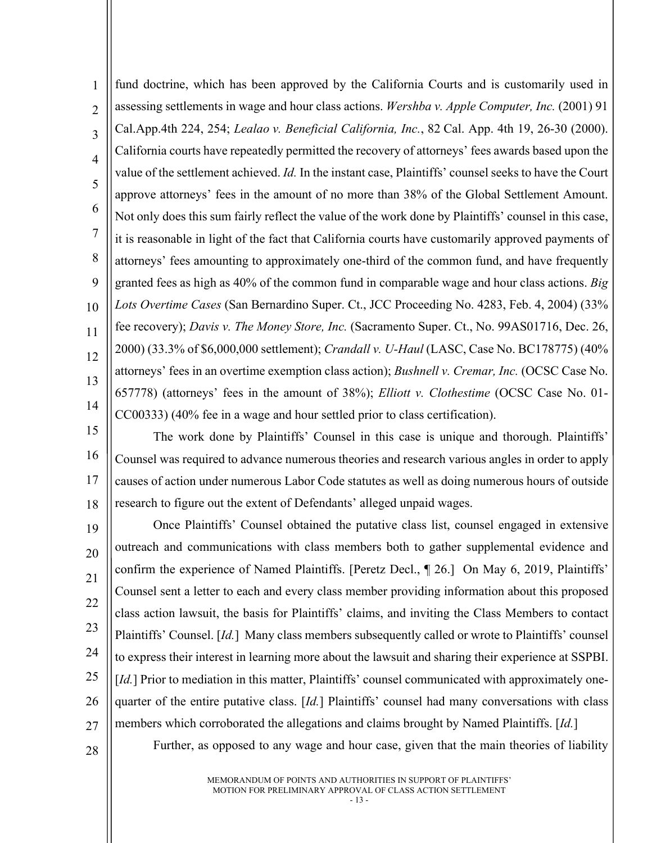1  $\mathfrak{D}$ 3 4 5 6 7 8  $\overline{Q}$ 10 11 12 13 14 fund doctrine, which has been approved by the California Courts and is customarily used in assessing settlements in wage and hour class actions. *Wershba v. Apple Computer, Inc.* (2001) 91 Cal.App.4th 224, 254; *Lealao v. Beneficial California, Inc.*, 82 Cal. App. 4th 19, 26-30 (2000). California courts have repeatedly permitted the recovery of attorneys' fees awards based upon the value of the settlement achieved. *Id.* In the instant case, Plaintiffs' counsel seeks to have the Court approve attorneys' fees in the amount of no more than 38% of the Global Settlement Amount. Not only does this sum fairly reflect the value of the work done by Plaintiffs' counsel in this case, it is reasonable in light of the fact that California courts have customarily approved payments of attorneys' fees amounting to approximately one-third of the common fund, and have frequently granted fees as high as 40% of the common fund in comparable wage and hour class actions. *Big Lots Overtime Cases* (San Bernardino Super. Ct., JCC Proceeding No. 4283, Feb. 4, 2004) (33% fee recovery); *Davis v. The Money Store, Inc.* (Sacramento Super. Ct., No. 99AS01716, Dec. 26, 2000) (33.3% of \$6,000,000 settlement); *Crandall v. U-Haul* (LASC, Case No. BC178775) (40% attorneys' fees in an overtime exemption class action); *Bushnell v. Cremar, Inc.* (OCSC Case No. 657778) (attorneys' fees in the amount of 38%); *Elliott v. Clothestime* (OCSC Case No. 01- CC00333) (40% fee in a wage and hour settled prior to class certification).

15 16 17 18 The work done by Plaintiffs' Counsel in this case is unique and thorough. Plaintiffs' Counsel was required to advance numerous theories and research various angles in order to apply causes of action under numerous Labor Code statutes as well as doing numerous hours of outside research to figure out the extent of Defendants' alleged unpaid wages.

19 20 21 22 23 24 25 26 27 Once Plaintiffs' Counsel obtained the putative class list, counsel engaged in extensive outreach and communications with class members both to gather supplemental evidence and confirm the experience of Named Plaintiffs. [Peretz Decl., ¶ 26.] On May 6, 2019, Plaintiffs' Counsel sent a letter to each and every class member providing information about this proposed class action lawsuit, the basis for Plaintiffs' claims, and inviting the Class Members to contact Plaintiffs' Counsel. [*Id.*] Many class members subsequently called or wrote to Plaintiffs' counsel to express their interest in learning more about the lawsuit and sharing their experience at SSPBI. [*Id.*] Prior to mediation in this matter, Plaintiffs' counsel communicated with approximately onequarter of the entire putative class. [*Id.*] Plaintiffs' counsel had many conversations with class members which corroborated the allegations and claims brought by Named Plaintiffs. [*Id.*]

Further, as opposed to any wage and hour case, given that the main theories of liability

28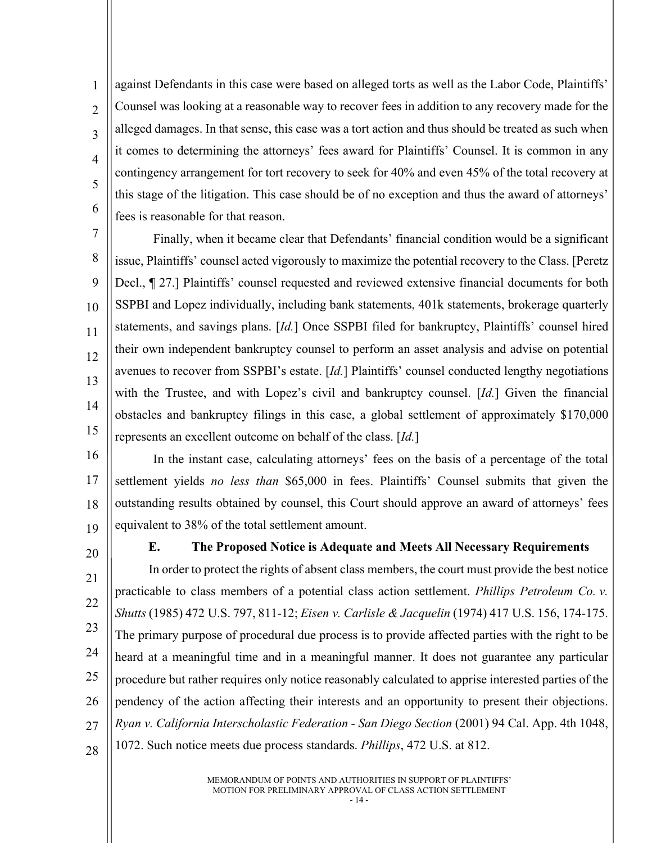$\overline{2}$ 3 4 5 6 against Defendants in this case were based on alleged torts as well as the Labor Code, Plaintiffs' Counsel was looking at a reasonable way to recover fees in addition to any recovery made for the alleged damages. In that sense, this case was a tort action and thus should be treated as such when it comes to determining the attorneys' fees award for Plaintiffs' Counsel. It is common in any contingency arrangement for tort recovery to seek for 40% and even 45% of the total recovery at this stage of the litigation. This case should be of no exception and thus the award of attorneys' fees is reasonable for that reason.

7 8 9 10 11 12 13 14 15 Finally, when it became clear that Defendants' financial condition would be a significant issue, Plaintiffs' counsel acted vigorously to maximize the potential recovery to the Class. [Peretz Decl., ¶ 27.] Plaintiffs' counsel requested and reviewed extensive financial documents for both SSPBI and Lopez individually, including bank statements, 401k statements, brokerage quarterly statements, and savings plans. [*Id.*] Once SSPBI filed for bankruptcy, Plaintiffs' counsel hired their own independent bankruptcy counsel to perform an asset analysis and advise on potential avenues to recover from SSPBI's estate. [*Id.*] Plaintiffs' counsel conducted lengthy negotiations with the Trustee, and with Lopez's civil and bankruptcy counsel. [*Id.*] Given the financial obstacles and bankruptcy filings in this case, a global settlement of approximately \$170,000 represents an excellent outcome on behalf of the class. [*Id.*]

- 16 17 18 19 In the instant case, calculating attorneys' fees on the basis of a percentage of the total settlement yields *no less than* \$65,000 in fees. Plaintiffs' Counsel submits that given the outstanding results obtained by counsel, this Court should approve an award of attorneys' fees equivalent to 38% of the total settlement amount.
	- 20

1

# <span id="page-17-0"></span>**E. The Proposed Notice is Adequate and Meets All Necessary Requirements**

21 22 23 24 25 26 27 28 In order to protect the rights of absent class members, the court must provide the best notice practicable to class members of a potential class action settlement. *Phillips Petroleum Co. v. Shutts* (1985) 472 U.S. 797, 811-12; *Eisen v. Carlisle & Jacquelin* (1974) 417 U.S. 156, 174-175. The primary purpose of procedural due process is to provide affected parties with the right to be heard at a meaningful time and in a meaningful manner. It does not guarantee any particular procedure but rather requires only notice reasonably calculated to apprise interested parties of the pendency of the action affecting their interests and an opportunity to present their objections. *Ryan v. California Interscholastic Federation - San Diego Section* (2001) 94 Cal. App. 4th 1048, 1072. Such notice meets due process standards. *Phillips*, 472 U.S. at 812.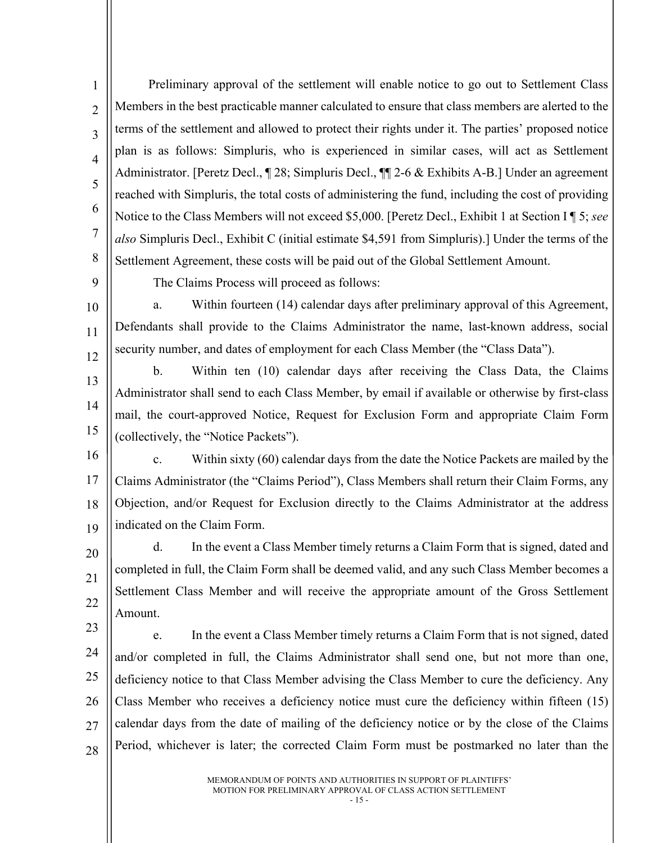1  $\overline{2}$ 3 4 5 6 7 8 Preliminary approval of the settlement will enable notice to go out to Settlement Class Members in the best practicable manner calculated to ensure that class members are alerted to the terms of the settlement and allowed to protect their rights under it. The parties' proposed notice plan is as follows: Simpluris, who is experienced in similar cases, will act as Settlement Administrator. [Peretz Decl., 1 28; Simpluris Decl., 1 2-6 & Exhibits A-B.] Under an agreement reached with Simpluris, the total costs of administering the fund, including the cost of providing Notice to the Class Members will not exceed \$5,000. [Peretz Decl., Exhibit 1 at Section I ¶ 5; *see also* Simpluris Decl., Exhibit C (initial estimate \$4,591 from Simpluris).] Under the terms of the Settlement Agreement, these costs will be paid out of the Global Settlement Amount.

 $\overline{Q}$ 10

11

12

The Claims Process will proceed as follows:

a. Within fourteen (14) calendar days after preliminary approval of this Agreement, Defendants shall provide to the Claims Administrator the name, last-known address, social security number, and dates of employment for each Class Member (the "Class Data").

13 14 15 b. Within ten (10) calendar days after receiving the Class Data, the Claims Administrator shall send to each Class Member, by email if available or otherwise by first-class mail, the court-approved Notice, Request for Exclusion Form and appropriate Claim Form (collectively, the "Notice Packets").

16

17 18 19 c. Within sixty (60) calendar days from the date the Notice Packets are mailed by the Claims Administrator (the "Claims Period"), Class Members shall return their Claim Forms, any Objection, and/or Request for Exclusion directly to the Claims Administrator at the address indicated on the Claim Form.

20 21 22 d. In the event a Class Member timely returns a Claim Form that is signed, dated and completed in full, the Claim Form shall be deemed valid, and any such Class Member becomes a Settlement Class Member and will receive the appropriate amount of the Gross Settlement Amount.

23 24 25 26 27 28 e. In the event a Class Member timely returns a Claim Form that is not signed, dated and/or completed in full, the Claims Administrator shall send one, but not more than one, deficiency notice to that Class Member advising the Class Member to cure the deficiency. Any Class Member who receives a deficiency notice must cure the deficiency within fifteen (15) calendar days from the date of mailing of the deficiency notice or by the close of the Claims Period, whichever is later; the corrected Claim Form must be postmarked no later than the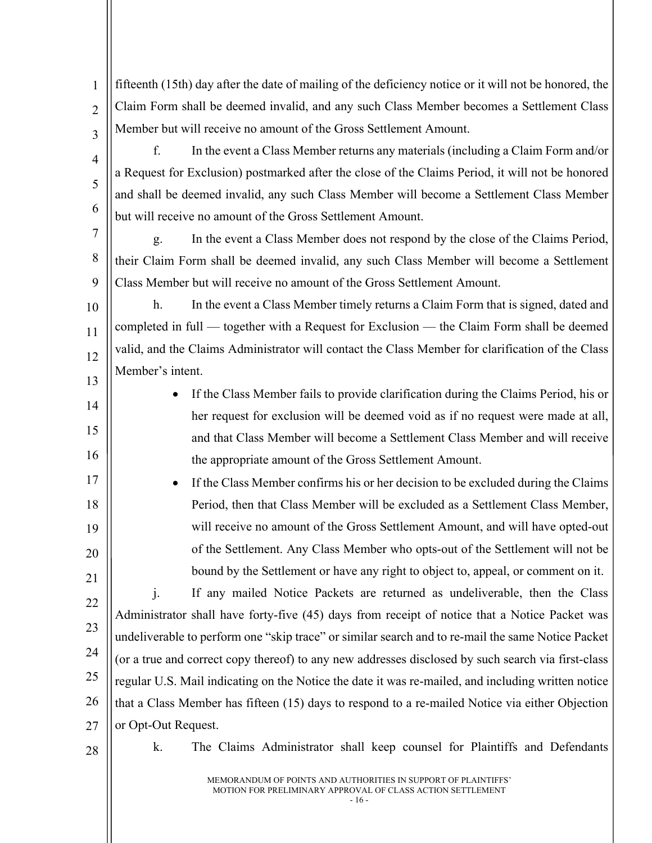fifteenth (15th) day after the date of mailing of the deficiency notice or it will not be honored, the Claim Form shall be deemed invalid, and any such Class Member becomes a Settlement Class Member but will receive no amount of the Gross Settlement Amount.

f. In the event a Class Member returns any materials (including a Claim Form and/or a Request for Exclusion) postmarked after the close of the Claims Period, it will not be honored and shall be deemed invalid, any such Class Member will become a Settlement Class Member but will receive no amount of the Gross Settlement Amount.

8 9 g. In the event a Class Member does not respond by the close of the Claims Period, their Claim Form shall be deemed invalid, any such Class Member will become a Settlement Class Member but will receive no amount of the Gross Settlement Amount.

10 11 12 13 h. In the event a Class Member timely returns a Claim Form that is signed, dated and completed in full — together with a Request for Exclusion — the Claim Form shall be deemed valid, and the Claims Administrator will contact the Class Member for clarification of the Class Member's intent.

> • If the Class Member fails to provide clarification during the Claims Period, his or her request for exclusion will be deemed void as if no request were made at all, and that Class Member will become a Settlement Class Member and will receive the appropriate amount of the Gross Settlement Amount.

• If the Class Member confirms his or her decision to be excluded during the Claims Period, then that Class Member will be excluded as a Settlement Class Member, will receive no amount of the Gross Settlement Amount, and will have opted-out of the Settlement. Any Class Member who opts-out of the Settlement will not be bound by the Settlement or have any right to object to, appeal, or comment on it.

22 23 24 25 26 27 j. If any mailed Notice Packets are returned as undeliverable, then the Class Administrator shall have forty-five (45) days from receipt of notice that a Notice Packet was undeliverable to perform one "skip trace" or similar search and to re-mail the same Notice Packet (or a true and correct copy thereof) to any new addresses disclosed by such search via first-class regular U.S. Mail indicating on the Notice the date it was re-mailed, and including written notice that a Class Member has fifteen (15) days to respond to a re-mailed Notice via either Objection or Opt-Out Request.

28

1

 $\overline{2}$ 

3

4

5

6

7

14

15

16

17

18

19

20

21

k. The Claims Administrator shall keep counsel for Plaintiffs and Defendants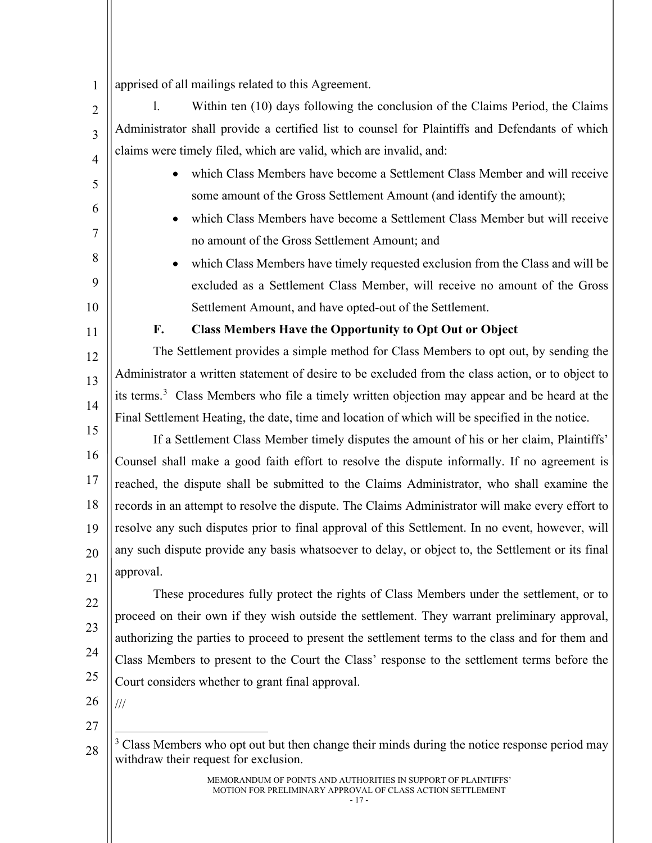1 apprised of all mailings related to this Agreement.

 $\mathfrak{D}$ 3 4 l. Within ten (10) days following the conclusion of the Claims Period, the Claims Administrator shall provide a certified list to counsel for Plaintiffs and Defendants of which claims were timely filed, which are valid, which are invalid, and:

- which Class Members have become a Settlement Class Member and will receive some amount of the Gross Settlement Amount (and identify the amount);
- which Class Members have become a Settlement Class Member but will receive no amount of the Gross Settlement Amount; and
- which Class Members have timely requested exclusion from the Class and will be excluded as a Settlement Class Member, will receive no amount of the Gross Settlement Amount, and have opted-out of the Settlement.

#### **F. Class Members Have the Opportunity to Opt Out or Object**

<span id="page-20-0"></span>The Settlement provides a simple method for Class Members to opt out, by sending the Administrator a written statement of desire to be excluded from the class action, or to object to its terms.<sup>[3](#page-20-1)</sup> Class Members who file a timely written objection may appear and be heard at the Final Settlement Heating, the date, time and location of which will be specified in the notice.

15 16 17 18 19 20 If a Settlement Class Member timely disputes the amount of his or her claim, Plaintiffs' Counsel shall make a good faith effort to resolve the dispute informally. If no agreement is reached, the dispute shall be submitted to the Claims Administrator, who shall examine the records in an attempt to resolve the dispute. The Claims Administrator will make every effort to resolve any such disputes prior to final approval of this Settlement. In no event, however, will any such dispute provide any basis whatsoever to delay, or object to, the Settlement or its final approval.

21 22 23 24 25 These procedures fully protect the rights of Class Members under the settlement, or to proceed on their own if they wish outside the settlement. They warrant preliminary approval, authorizing the parties to proceed to present the settlement terms to the class and for them and Class Members to present to the Court the Class' response to the settlement terms before the Court considers whether to grant final approval.

26 27

///

<span id="page-20-1"></span>28

5

6

7

8

 $\overline{Q}$ 

10

11

12

13

14

 $3$  Class Members who opt out but then change their minds during the notice response period may withdraw their request for exclusion.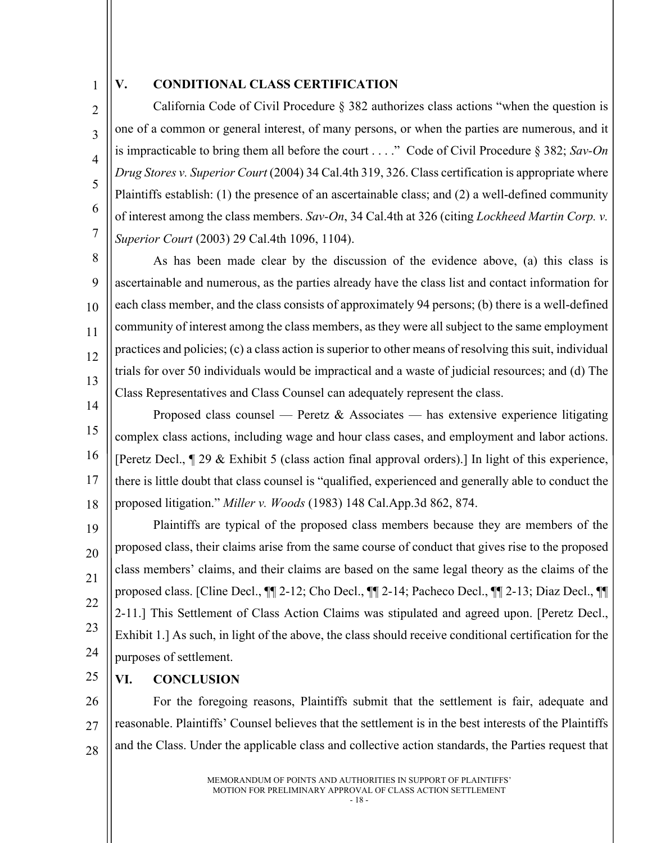# 1  $\mathfrak{D}$

3

4

5

6

7

#### <span id="page-21-0"></span>**V. CONDITIONAL CLASS CERTIFICATION**

California Code of Civil Procedure § 382 authorizes class actions "when the question is one of a common or general interest, of many persons, or when the parties are numerous, and it is impracticable to bring them all before the court . . . ." Code of Civil Procedure § 382; *Sav-On Drug Stores v. Superior Court* (2004) 34 Cal.4th 319, 326. Class certification is appropriate where Plaintiffs establish: (1) the presence of an ascertainable class; and (2) a well-defined community of interest among the class members. *Sav-On*, 34 Cal.4th at 326 (citing *Lockheed Martin Corp. v. Superior Court* (2003) 29 Cal.4th 1096, 1104).

8 9 10 11 12 13 14 As has been made clear by the discussion of the evidence above, (a) this class is ascertainable and numerous, as the parties already have the class list and contact information for each class member, and the class consists of approximately 94 persons; (b) there is a well-defined community of interest among the class members, as they were all subject to the same employment practices and policies; (c) a class action is superior to other means of resolving this suit, individual trials for over 50 individuals would be impractical and a waste of judicial resources; and (d) The Class Representatives and Class Counsel can adequately represent the class.

15 16 17 18 Proposed class counsel — Peretz & Associates — has extensive experience litigating complex class actions, including wage and hour class cases, and employment and labor actions. [Peretz Decl., ¶ 29 & Exhibit 5 (class action final approval orders).] In light of this experience, there is little doubt that class counsel is "qualified, experienced and generally able to conduct the proposed litigation." *Miller v. Woods* (1983) 148 Cal.App.3d 862, 874.

19 20 21 22 23 24 Plaintiffs are typical of the proposed class members because they are members of the proposed class, their claims arise from the same course of conduct that gives rise to the proposed class members' claims, and their claims are based on the same legal theory as the claims of the proposed class. [Cline Decl., ¶¶ 2-12; Cho Decl., ¶¶ 2-14; Pacheco Decl., ¶¶ 2-13; Diaz Decl., ¶¶ 2-11.] This Settlement of Class Action Claims was stipulated and agreed upon. [Peretz Decl., Exhibit 1.] As such, in light of the above, the class should receive conditional certification for the purposes of settlement.

25

<span id="page-21-1"></span>**VI. CONCLUSION**

26 27 28 For the foregoing reasons, Plaintiffs submit that the settlement is fair, adequate and reasonable. Plaintiffs' Counsel believes that the settlement is in the best interests of the Plaintiffs and the Class. Under the applicable class and collective action standards, the Parties request that